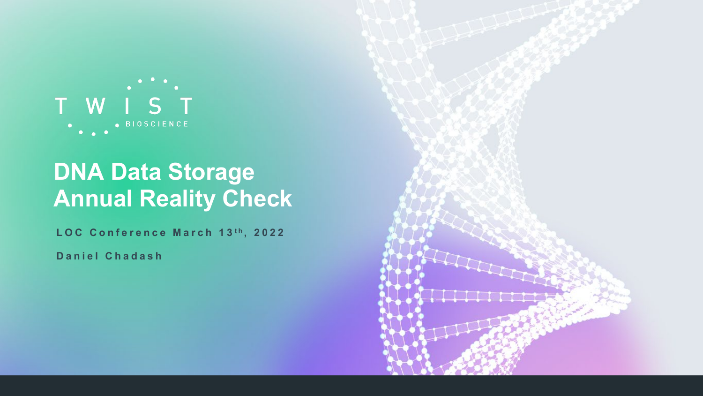

## **DNA Data Storage Annual Reality Check**

LOC Conference March 13<sup>th</sup>, 2022

**Daniel Chadash**

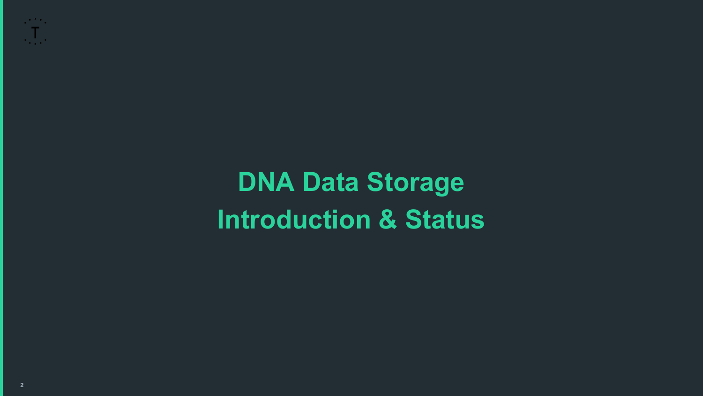**DNA Data Storage Introduction & Status**

 $\frac{1}{\sqrt{2}}$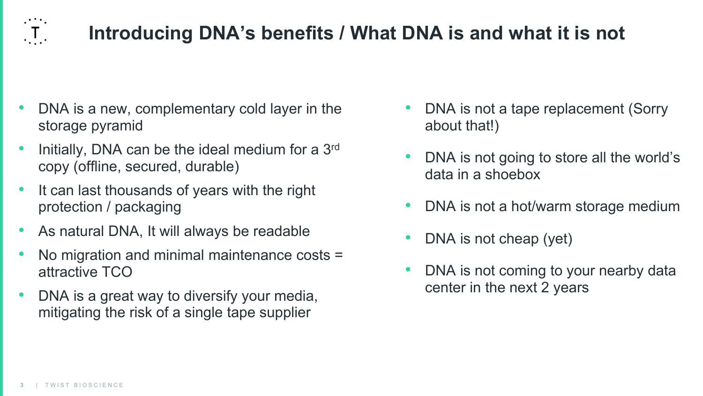

### **Introducing DNA's benefits / What DNA is and what it is not**

- DNA is a new, complementary cold layer in the storage pyramid
- Initially, DNA can be the ideal medium for a 3<sup>rd</sup> copy (offline, secured, durable)
- It can last thousands of years with the right protection / packaging
- As natural DNA, It will always be readable
- No migration and minimal maintenance costs = attractive TCO
- DNA is a great way to diversify your media, mitigating the risk of a single tape supplier
- DNA is not a tape replacement (Sorry about that!)
- DNA is not going to store all the world's data in a shoebox
- DNA is not a hot/warm storage medium
- DNA is not cheap (yet)
- DNA is not coming to your nearby data center in the next 2 years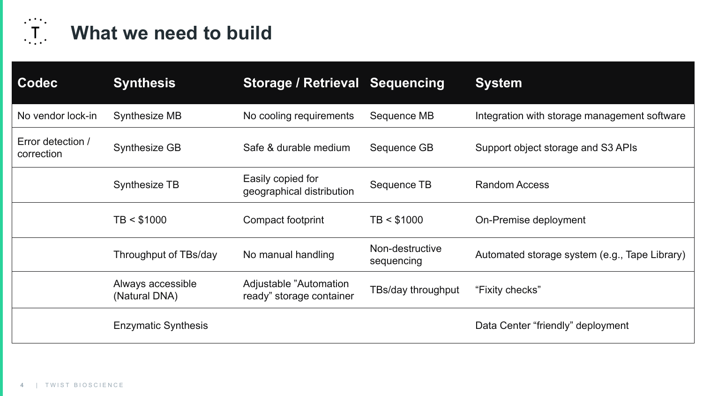

# **THE What we need to build**

| Codec                           | <b>Synthesis</b>                   | <b>Storage / Retrieval Sequencing</b>               |                               | <b>System</b>                                 |
|---------------------------------|------------------------------------|-----------------------------------------------------|-------------------------------|-----------------------------------------------|
| No vendor lock-in               | <b>Synthesize MB</b>               | No cooling requirements                             | Sequence MB                   | Integration with storage management software  |
| Error detection /<br>correction | <b>Synthesize GB</b>               | Safe & durable medium                               | Sequence GB                   | Support object storage and S3 APIs            |
|                                 | <b>Synthesize TB</b>               | Easily copied for<br>geographical distribution      | Sequence TB                   | <b>Random Access</b>                          |
|                                 | TB < \$1000                        | Compact footprint                                   | TB < \$1000                   | On-Premise deployment                         |
|                                 | Throughput of TBs/day              | No manual handling                                  | Non-destructive<br>sequencing | Automated storage system (e.g., Tape Library) |
|                                 | Always accessible<br>(Natural DNA) | Adjustable "Automation"<br>ready" storage container | TBs/day throughput            | "Fixity checks"                               |
|                                 | <b>Enzymatic Synthesis</b>         |                                                     |                               | Data Center "friendly" deployment             |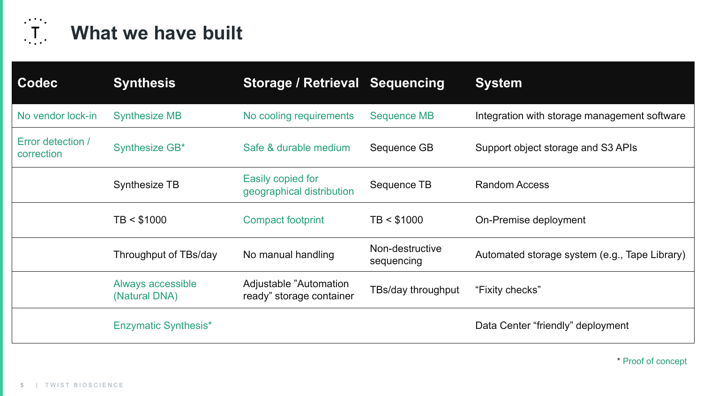

### **What we have built**

| <b>Codec</b>                    | <b>Synthesis</b>                   | <b>Storage / Retrieval Sequencing</b>               |                               | <b>System</b>                                 |
|---------------------------------|------------------------------------|-----------------------------------------------------|-------------------------------|-----------------------------------------------|
| No vendor lock-in               | <b>Synthesize MB</b>               | No cooling requirements                             | <b>Sequence MB</b>            | Integration with storage management software  |
| Error detection /<br>correction | Synthesize GB*                     | Safe & durable medium                               | Sequence GB                   | Support object storage and S3 APIs            |
|                                 | <b>Synthesize TB</b>               | Easily copied for<br>geographical distribution      | Sequence TB                   | <b>Random Access</b>                          |
|                                 | TB < \$1000                        | <b>Compact footprint</b>                            | TB < \$1000                   | On-Premise deployment                         |
|                                 | Throughput of TBs/day              | No manual handling                                  | Non-destructive<br>sequencing | Automated storage system (e.g., Tape Library) |
|                                 | Always accessible<br>(Natural DNA) | Adjustable "Automation"<br>ready" storage container | TBs/day throughput            | "Fixity checks"                               |
|                                 | <b>Enzymatic Synthesis*</b>        |                                                     |                               | Data Center "friendly" deployment             |

\* Proof of concept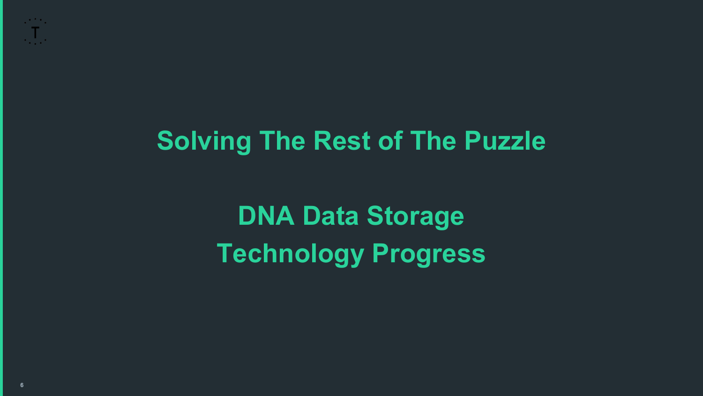## **Solving The Rest of The Puzzle**

**DNA Data Storage Technology Progress**

 $\mathcal{L}^{\text{max}}_{\text{max}}$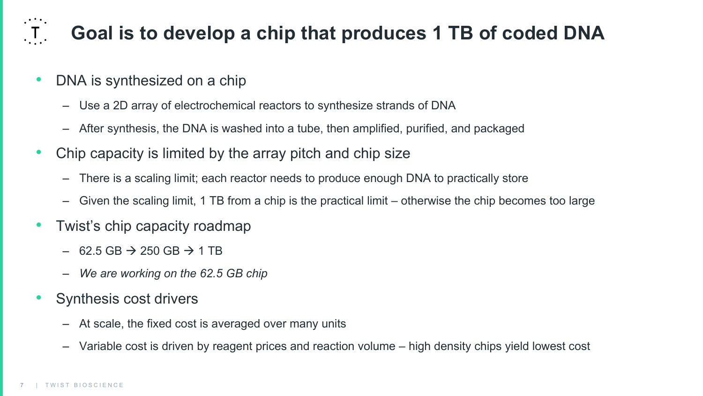### **Goal is to develop a chip that produces 1 TB of coded DNA**

- DNA is synthesized on a chip
	- Use a 2D array of electrochemical reactors to synthesize strands of DNA
	- After synthesis, the DNA is washed into a tube, then amplified, purified, and packaged
- Chip capacity is limited by the array pitch and chip size
	- There is a scaling limit; each reactor needs to produce enough DNA to practically store
	- Given the scaling limit, 1 TB from a chip is the practical limit otherwise the chip becomes too large
- Twist's chip capacity roadmap
	- $-$  62.5 GB  $\rightarrow$  250 GB  $\rightarrow$  1 TB
	- *We are working on the 62.5 GB chip*
- Synthesis cost drivers
	- At scale, the fixed cost is averaged over many units
	- Variable cost is driven by reagent prices and reaction volume high density chips yield lowest cost

 $\overline{.1}$ .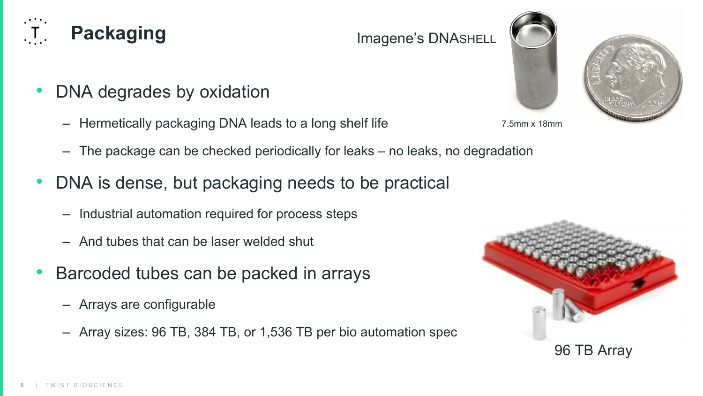#### DNA degrades by oxidation

- Hermetically packaging DNA leads to a long shelf life
- The package can be checked periodically for leaks no leaks, no degradation
- DNA is dense, but packaging needs to be practical
	- Industrial automation required for process steps
	- And tubes that can be laser welded shut
- Barcoded tubes can be packed in arrays
	- Arrays are configurable
	- Array sizes: 96 TB, 384 TB, or 1,536 TB per bio automation spec







# **Packaging**

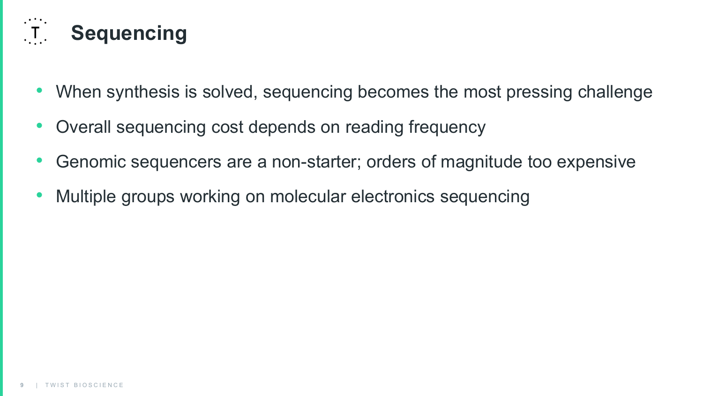

- When synthesis is solved, sequencing becomes the most pressing challenge
- Overall sequencing cost depends on reading frequency
- Genomic sequencers are a non-starter; orders of magnitude too expensive
- Multiple groups working on molecular electronics sequencing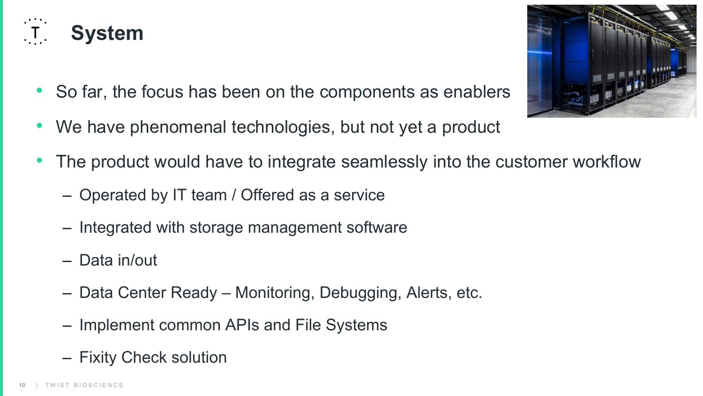

- So far, the focus has been on the components as enablers
- We have phenomenal technologies, but not yet a product



- Operated by IT team / Offered as a service
- Integrated with storage management software
- Data in/out
- Data Center Ready Monitoring, Debugging, Alerts, etc.
- Implement common APIs and File Systems
- Fixity Check solution

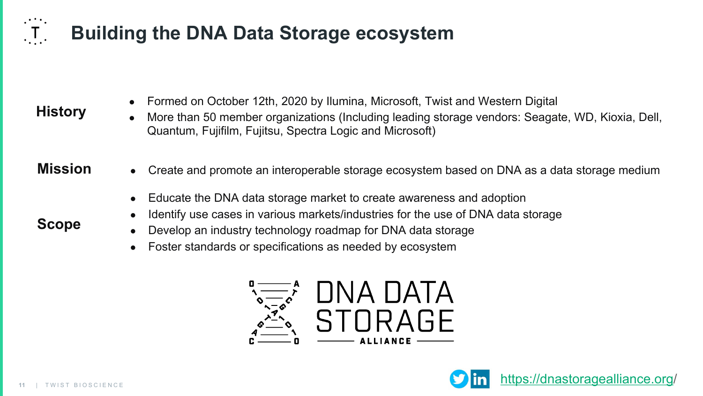### **Building the DNA Data Storage ecosystem**

| <b>History</b> |
|----------------|
|----------------|

 $\left( \begin{matrix} 1 \\ 1 \end{matrix} \right)$ 

**Scope**

- Formed on October 12th, 2020 by Ilumina, Microsoft, Twist and Western Digital
- More than 50 member organizations (Including leading storage vendors: Seagate, WD, Kioxia, Dell, Quantum, Fujifilm, Fujitsu, Spectra Logic and Microsoft)
- **Mission ●** Create and promote an interoperable storage ecosystem based on DNA as a data storage medium
	- Educate the DNA data storage market to create awareness and adoption
	- Identify use cases in various markets/industries for the use of DNA data storage
	- Develop an industry technology roadmap for DNA data storage
	- Foster standards or specifications as needed by ecosystem